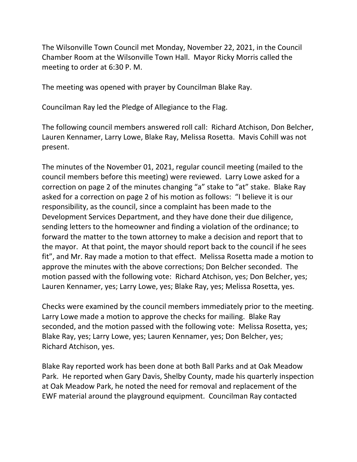The Wilsonville Town Council met Monday, November 22, 2021, in the Council Chamber Room at the Wilsonville Town Hall. Mayor Ricky Morris called the meeting to order at 6:30 P. M.

The meeting was opened with prayer by Councilman Blake Ray.

Councilman Ray led the Pledge of Allegiance to the Flag.

The following council members answered roll call: Richard Atchison, Don Belcher, Lauren Kennamer, Larry Lowe, Blake Ray, Melissa Rosetta. Mavis Cohill was not present.

The minutes of the November 01, 2021, regular council meeting (mailed to the council members before this meeting) were reviewed. Larry Lowe asked for a correction on page 2 of the minutes changing "a" stake to "at" stake. Blake Ray asked for a correction on page 2 of his motion as follows: "I believe it is our responsibility, as the council, since a complaint has been made to the Development Services Department, and they have done their due diligence, sending letters to the homeowner and finding a violation of the ordinance; to forward the matter to the town attorney to make a decision and report that to the mayor. At that point, the mayor should report back to the council if he sees fit", and Mr. Ray made a motion to that effect. Melissa Rosetta made a motion to approve the minutes with the above corrections; Don Belcher seconded. The motion passed with the following vote: Richard Atchison, yes; Don Belcher, yes; Lauren Kennamer, yes; Larry Lowe, yes; Blake Ray, yes; Melissa Rosetta, yes.

Checks were examined by the council members immediately prior to the meeting. Larry Lowe made a motion to approve the checks for mailing. Blake Ray seconded, and the motion passed with the following vote: Melissa Rosetta, yes; Blake Ray, yes; Larry Lowe, yes; Lauren Kennamer, yes; Don Belcher, yes; Richard Atchison, yes.

Blake Ray reported work has been done at both Ball Parks and at Oak Meadow Park. He reported when Gary Davis, Shelby County, made his quarterly inspection at Oak Meadow Park, he noted the need for removal and replacement of the EWF material around the playground equipment. Councilman Ray contacted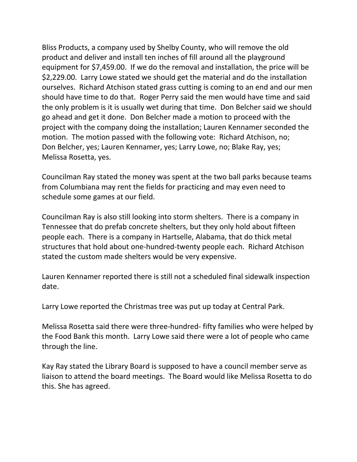Bliss Products, a company used by Shelby County, who will remove the old product and deliver and install ten inches of fill around all the playground equipment for \$7,459.00. If we do the removal and installation, the price will be \$2,229.00. Larry Lowe stated we should get the material and do the installation ourselves. Richard Atchison stated grass cutting is coming to an end and our men should have time to do that. Roger Perry said the men would have time and said the only problem is it is usually wet during that time. Don Belcher said we should go ahead and get it done. Don Belcher made a motion to proceed with the project with the company doing the installation; Lauren Kennamer seconded the motion. The motion passed with the following vote: Richard Atchison, no; Don Belcher, yes; Lauren Kennamer, yes; Larry Lowe, no; Blake Ray, yes; Melissa Rosetta, yes.

Councilman Ray stated the money was spent at the two ball parks because teams from Columbiana may rent the fields for practicing and may even need to schedule some games at our field.

Councilman Ray is also still looking into storm shelters. There is a company in Tennessee that do prefab concrete shelters, but they only hold about fifteen people each. There is a company in Hartselle, Alabama, that do thick metal structures that hold about one-hundred-twenty people each. Richard Atchison stated the custom made shelters would be very expensive.

Lauren Kennamer reported there is still not a scheduled final sidewalk inspection date.

Larry Lowe reported the Christmas tree was put up today at Central Park.

Melissa Rosetta said there were three-hundred- fifty families who were helped by the Food Bank this month. Larry Lowe said there were a lot of people who came through the line.

Kay Ray stated the Library Board is supposed to have a council member serve as liaison to attend the board meetings. The Board would like Melissa Rosetta to do this. She has agreed.